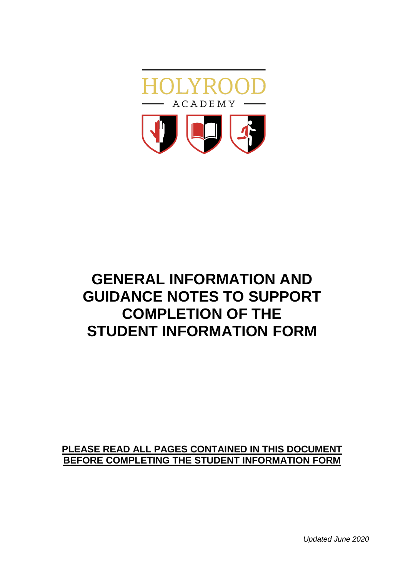

# **GENERAL INFORMATION AND GUIDANCE NOTES TO SUPPORT COMPLETION OF THE STUDENT INFORMATION FORM**

# **PLEASE READ ALL PAGES CONTAINED IN THIS DOCUMENT BEFORE COMPLETING THE STUDENT INFORMATION FORM**

*Updated June 2020*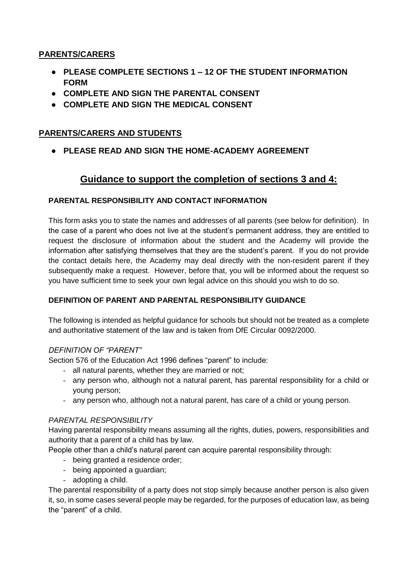## **PARENTS/CARERS**

- **PLEASE COMPLETE SECTIONS 1 – 12 OF THE STUDENT INFORMATION FORM**
- **COMPLETE AND SIGN THE PARENTAL CONSENT**
- **COMPLETE AND SIGN THE MEDICAL CONSENT**

## **PARENTS/CARERS AND STUDENTS**

● **PLEASE READ AND SIGN THE HOME-ACADEMY AGREEMENT**

# **Guidance to support the completion of sections 3 and 4:**

## **PARENTAL RESPONSIBILITY AND CONTACT INFORMATION**

This form asks you to state the names and addresses of all parents (see below for definition). In the case of a parent who does not live at the student's permanent address, they are entitled to request the disclosure of information about the student and the Academy will provide the information after satisfying themselves that they are the student's parent. If you do not provide the contact details here, the Academy may deal directly with the non-resident parent if they subsequently make a request. However, before that, you will be informed about the request so you have sufficient time to seek your own legal advice on this should you wish to do so.

#### **DEFINITION OF PARENT AND PARENTAL RESPONSIBILITY GUIDANCE**

The following is intended as helpful guidance for schools but should not be treated as a complete and authoritative statement of the law and is taken from DfE Circular 0092/2000.

#### *DEFINITION OF "PARENT"*

Section 576 of the Education Act 1996 defines "parent" to include:

- all natural parents, whether they are married or not;
- any person who, although not a natural parent, has parental responsibility for a child or young person;
- any person who, although not a natural parent, has care of a child or young person.

## *PARENTAL RESPONSIBILITY*

Having parental responsibility means assuming all the rights, duties, powers, responsibilities and authority that a parent of a child has by law.

People other than a child's natural parent can acquire parental responsibility through:

- being granted a residence order;
- being appointed a guardian;
- adopting a child.

The parental responsibility of a party does not stop simply because another person is also given it, so, in some cases several people may be regarded, for the purposes of education law, as being the "parent" of a child.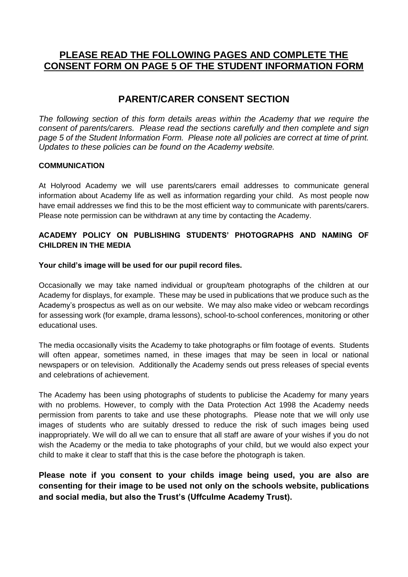# **PLEASE READ THE FOLLOWING PAGES AND COMPLETE THE CONSENT FORM ON PAGE 5 OF THE STUDENT INFORMATION FORM**

# **PARENT/CARER CONSENT SECTION**

*The following section of this form details areas within the Academy that we require the consent of parents/carers. Please read the sections carefully and then complete and sign page 5 of the Student Information Form. Please note all policies are correct at time of print. Updates to these policies can be found on the Academy website.*

#### **COMMUNICATION**

At Holyrood Academy we will use parents/carers email addresses to communicate general information about Academy life as well as information regarding your child. As most people now have email addresses we find this to be the most efficient way to communicate with parents/carers. Please note permission can be withdrawn at any time by contacting the Academy.

#### **ACADEMY POLICY ON PUBLISHING STUDENTS' PHOTOGRAPHS AND NAMING OF CHILDREN IN THE MEDIA**

#### **Your child's image will be used for our pupil record files.**

Occasionally we may take named individual or group/team photographs of the children at our Academy for displays, for example. These may be used in publications that we produce such as the Academy's prospectus as well as on our website. We may also make video or webcam recordings for assessing work (for example, drama lessons), school-to-school conferences, monitoring or other educational uses.

The media occasionally visits the Academy to take photographs or film footage of events. Students will often appear, sometimes named, in these images that may be seen in local or national newspapers or on television. Additionally the Academy sends out press releases of special events and celebrations of achievement.

The Academy has been using photographs of students to publicise the Academy for many years with no problems. However, to comply with the Data Protection Act 1998 the Academy needs permission from parents to take and use these photographs. Please note that we will only use images of students who are suitably dressed to reduce the risk of such images being used inappropriately. We will do all we can to ensure that all staff are aware of your wishes if you do not wish the Academy or the media to take photographs of your child, but we would also expect your child to make it clear to staff that this is the case before the photograph is taken.

**Please note if you consent to your childs image being used, you are also are consenting for their image to be used not only on the schools website, publications and social media, but also the Trust's (Uffculme Academy Trust).**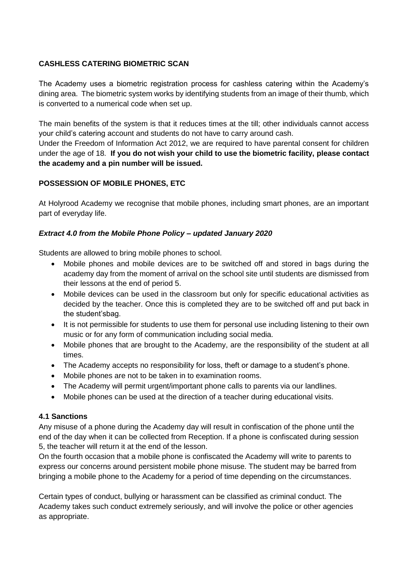#### **CASHLESS CATERING BIOMETRIC SCAN**

The Academy uses a biometric registration process for cashless catering within the Academy's dining area. The biometric system works by identifying students from an image of their thumb, which is converted to a numerical code when set up.

The main benefits of the system is that it reduces times at the till; other individuals cannot access your child's catering account and students do not have to carry around cash.

Under the Freedom of Information Act 2012, we are required to have parental consent for children under the age of 18. **If you do not wish your child to use the biometric facility, please contact the academy and a pin number will be issued.**

#### **POSSESSION OF MOBILE PHONES, ETC**

At Holyrood Academy we recognise that mobile phones, including smart phones, are an important part of everyday life.

#### *Extract 4.0 from the Mobile Phone Policy – updated January 2020*

Students are allowed to bring mobile phones to school.

- Mobile phones and mobile devices are to be switched off and stored in bags during the academy day from the moment of arrival on the school site until students are dismissed from their lessons at the end of period 5.
- Mobile devices can be used in the classroom but only for specific educational activities as decided by the teacher. Once this is completed they are to be switched off and put back in the student'sbag.
- It is not permissible for students to use them for personal use including listening to their own music or for any form of communication including social media.
- Mobile phones that are brought to the Academy, are the responsibility of the student at all times.
- The Academy accepts no responsibility for loss, theft or damage to a student's phone.
- Mobile phones are not to be taken in to examination rooms.
- The Academy will permit urgent/important phone calls to parents via our landlines.
- Mobile phones can be used at the direction of a teacher during educational visits.

#### **4.1 Sanctions**

Any misuse of a phone during the Academy day will result in confiscation of the phone until the end of the day when it can be collected from Reception. If a phone is confiscated during session 5, the teacher will return it at the end of the lesson.

On the fourth occasion that a mobile phone is confiscated the Academy will write to parents to express our concerns around persistent mobile phone misuse. The student may be barred from bringing a mobile phone to the Academy for a period of time depending on the circumstances.

Certain types of conduct, bullying or harassment can be classified as criminal conduct. The Academy takes such conduct extremely seriously, and will involve the police or other agencies as appropriate.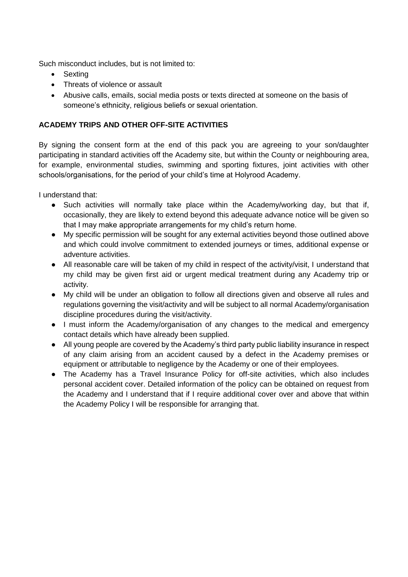Such misconduct includes, but is not limited to:

- Sexting
- Threats of violence or assault
- Abusive calls, emails, social media posts or texts directed at someone on the basis of someone's ethnicity, religious beliefs or sexual orientation.

## **ACADEMY TRIPS AND OTHER OFF-SITE ACTIVITIES**

By signing the consent form at the end of this pack you are agreeing to your son/daughter participating in standard activities off the Academy site, but within the County or neighbouring area, for example, environmental studies, swimming and sporting fixtures, joint activities with other schools/organisations, for the period of your child's time at Holyrood Academy.

I understand that:

- Such activities will normally take place within the Academy/working day, but that if, occasionally, they are likely to extend beyond this adequate advance notice will be given so that I may make appropriate arrangements for my child's return home.
- My specific permission will be sought for any external activities beyond those outlined above and which could involve commitment to extended journeys or times, additional expense or adventure activities.
- All reasonable care will be taken of my child in respect of the activity/visit, I understand that my child may be given first aid or urgent medical treatment during any Academy trip or activity.
- My child will be under an obligation to follow all directions given and observe all rules and regulations governing the visit/activity and will be subject to all normal Academy/organisation discipline procedures during the visit/activity.
- I must inform the Academy/organisation of any changes to the medical and emergency contact details which have already been supplied.
- All young people are covered by the Academy's third party public liability insurance in respect of any claim arising from an accident caused by a defect in the Academy premises or equipment or attributable to negligence by the Academy or one of their employees.
- The Academy has a Travel Insurance Policy for off-site activities, which also includes personal accident cover. Detailed information of the policy can be obtained on request from the Academy and I understand that if I require additional cover over and above that within the Academy Policy I will be responsible for arranging that.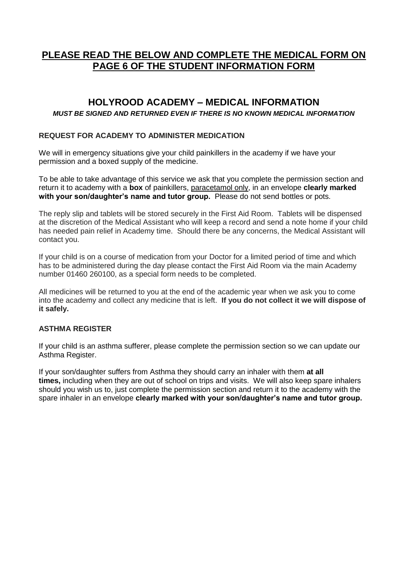# **PLEASE READ THE BELOW AND COMPLETE THE MEDICAL FORM ON PAGE 6 OF THE STUDENT INFORMATION FORM**

## **HOLYROOD ACADEMY – MEDICAL INFORMATION**

#### *MUST BE SIGNED AND RETURNED EVEN IF THERE IS NO KNOWN MEDICAL INFORMATION*

#### **REQUEST FOR ACADEMY TO ADMINISTER MEDICATION**

We will in emergency situations give your child painkillers in the academy if we have your permission and a boxed supply of the medicine.

To be able to take advantage of this service we ask that you complete the permission section and return it to academy with a **box** of painkillers, paracetamol only, in an envelope **clearly marked with your son/daughter's name and tutor group.** Please do not send bottles or pots.

The reply slip and tablets will be stored securely in the First Aid Room. Tablets will be dispensed at the discretion of the Medical Assistant who will keep a record and send a note home if your child has needed pain relief in Academy time. Should there be any concerns, the Medical Assistant will contact you.

If your child is on a course of medication from your Doctor for a limited period of time and which has to be administered during the day please contact the First Aid Room via the main Academy number 01460 260100, as a special form needs to be completed.

All medicines will be returned to you at the end of the academic year when we ask you to come into the academy and collect any medicine that is left. **If you do not collect it we will dispose of it safely.**

#### **ASTHMA REGISTER**

If your child is an asthma sufferer, please complete the permission section so we can update our Asthma Register.

If your son/daughter suffers from Asthma they should carry an inhaler with them **at all times,** including when they are out of school on trips and visits. We will also keep spare inhalers should you wish us to, just complete the permission section and return it to the academy with the spare inhaler in an envelope **clearly marked with your son/daughter's name and tutor group.**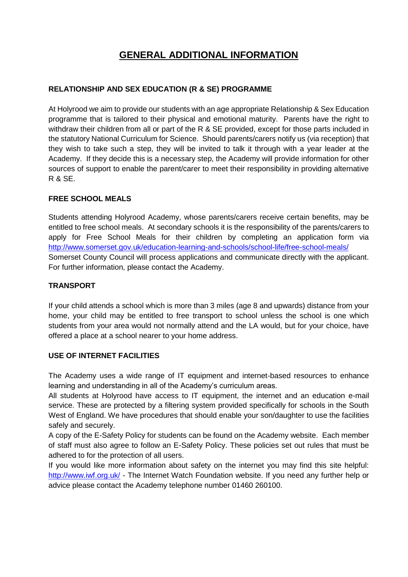# **GENERAL ADDITIONAL INFORMATION**

#### **RELATIONSHIP AND SEX EDUCATION (R & SE) PROGRAMME**

At Holyrood we aim to provide our students with an age appropriate Relationship & Sex Education programme that is tailored to their physical and emotional maturity. Parents have the right to withdraw their children from all or part of the R & SE provided, except for those parts included in the statutory National Curriculum for Science. Should parents/carers notify us (via reception) that they wish to take such a step, they will be invited to talk it through with a year leader at the Academy. If they decide this is a necessary step, the Academy will provide information for other sources of support to enable the parent/carer to meet their responsibility in providing alternative R & SE.

#### **FREE SCHOOL MEALS**

Students attending Holyrood Academy, whose parents/carers receive certain benefits, may be entitled to free school meals. At secondary schools it is the responsibility of the parents/carers to apply for Free School Meals for their children by completing an application form via <http://www.somerset.gov.uk/education-learning-and-schools/school-life/free-school-meals/> Somerset County Council will process applications and communicate directly with the applicant. For further information, please contact the Academy.

#### **TRANSPORT**

If your child attends a school which is more than 3 miles (age 8 and upwards) distance from your home, your child may be entitled to free transport to school unless the school is one which students from your area would not normally attend and the LA would, but for your choice, have offered a place at a school nearer to your home address.

#### **USE OF INTERNET FACILITIES**

The Academy uses a wide range of IT equipment and internet-based resources to enhance learning and understanding in all of the Academy's curriculum areas.

All students at Holyrood have access to IT equipment, the internet and an education e-mail service. These are protected by a filtering system provided specifically for schools in the South West of England. We have procedures that should enable your son/daughter to use the facilities safely and securely.

A copy of the E-Safety Policy for students can be found on the Academy website. Each member of staff must also agree to follow an E-Safety Policy. These policies set out rules that must be adhered to for the protection of all users.

If you would like more information about safety on the internet you may find this site helpful: <http://www.iwf.org.uk/> - The Internet Watch Foundation website. If you need any further help or advice please contact the Academy telephone number 01460 260100.